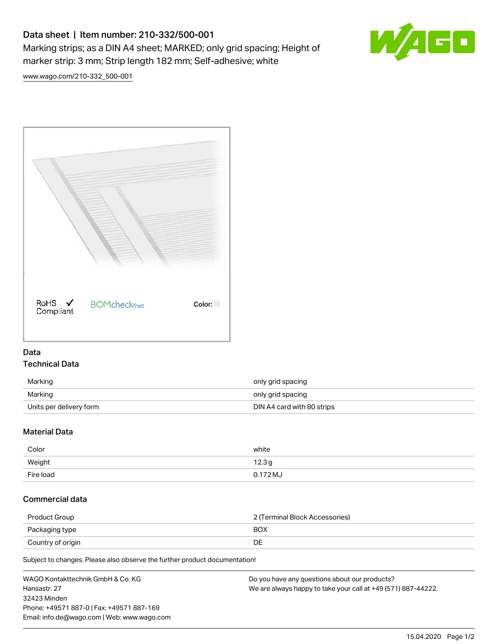## Data sheet | Item number: 210-332/500-001

Marking strips; as a DIN A4 sheet; MARKED; only grid spacing; Height of marker strip: 3 mm; Strip length 182 mm; Self-adhesive; white



[www.wago.com/210-332\\_500-001](http://www.wago.com/210-332_500-001)



## Data Technical Data

| Marking                 | only grid spacing          |
|-------------------------|----------------------------|
| Marking                 | only grid spacing          |
| Units per delivery form | DIN A4 card with 80 strips |

## Material Data

| Color     | white      |
|-----------|------------|
| Weight    | 12.3g      |
| Fire load | $0.172$ MJ |

## Commercial data

| Product Group     | 2 (Terminal Block Accessories) |
|-------------------|--------------------------------|
| Packaging type    | <b>BOX</b>                     |
| Country of origin | DE                             |

Subject to changes. Please also observe the further product documentation!

| WAGO Kontakttechnik GmbH & Co. KG           | Do you have any questions about our products?                 |
|---------------------------------------------|---------------------------------------------------------------|
| Hansastr. 27                                | We are always happy to take your call at +49 (571) 887-44222. |
| 32423 Minden                                |                                                               |
| Phone: +49571 887-0   Fax: +49571 887-169   |                                                               |
| Email: info.de@wago.com   Web: www.wago.com |                                                               |